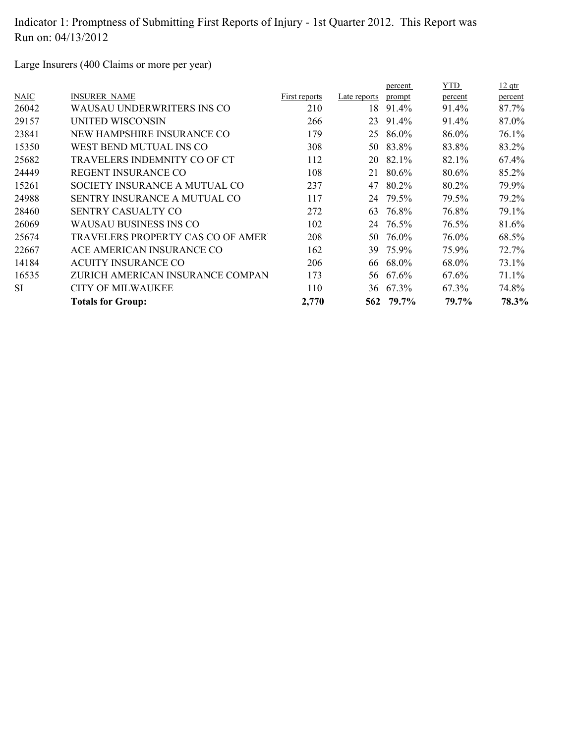Large Insurers (400 Claims or more per year)

|             |                                     |               |              | percent   | YTD     | $12$ qtr |
|-------------|-------------------------------------|---------------|--------------|-----------|---------|----------|
| <b>NAIC</b> | <b>INSURER NAME</b>                 | First reports | Late reports | prompt    | percent | percent  |
| 26042       | WAUSAU UNDERWRITERS INS CO          | 210           | 18           | 91.4%     | 91.4%   | 87.7%    |
| 29157       | UNITED WISCONSIN                    | 266           | 23           | 91.4%     | 91.4%   | 87.0%    |
| 23841       | NEW HAMPSHIRE INSURANCE CO          | 179           | 25           | 86.0%     | 86.0%   | 76.1%    |
| 15350       | WEST BEND MUTUAL INS CO             | 308           | 50           | 83.8%     | 83.8%   | 83.2%    |
| 25682       | TRAVELERS INDEMNITY CO OF CT        | 112           |              | 20 82.1%  | 82.1%   | 67.4%    |
| 24449       | <b>REGENT INSURANCE CO</b>          | 108           | 21           | 80.6%     | 80.6%   | 85.2%    |
| 15261       | SOCIETY INSURANCE A MUTUAL CO       | 237           | 47           | 80.2%     | 80.2%   | 79.9%    |
| 24988       | <b>SENTRY INSURANCE A MUTUAL CO</b> | 117           | 24           | 79.5%     | 79.5%   | 79.2%    |
| 28460       | <b>SENTRY CASUALTY CO</b>           | 272           | 63           | 76.8%     | 76.8%   | 79.1%    |
| 26069       | WAUSAU BUSINESS INS CO              | 102           | 24           | 76.5%     | 76.5%   | 81.6%    |
| 25674       | TRAVELERS PROPERTY CAS CO OF AMERT  | 208           | 50           | 76.0%     | 76.0%   | 68.5%    |
| 22667       | ACE AMERICAN INSURANCE CO           | 162           |              | 39 75.9%  | 75.9%   | 72.7%    |
| 14184       | <b>ACUITY INSURANCE CO</b>          | 206           |              | 66 68.0%  | 68.0%   | 73.1%    |
| 16535       | ZURICH AMERICAN INSURANCE COMPAN    | 173           |              | 56 67.6%  | 67.6%   | 71.1%    |
| <b>SI</b>   | <b>CITY OF MILWAUKEE</b>            | 110           |              | 36 67.3%  | 67.3%   | 74.8%    |
|             | <b>Totals for Group:</b>            | 2,770         |              | 562 79.7% | 79.7%   | 78.3%    |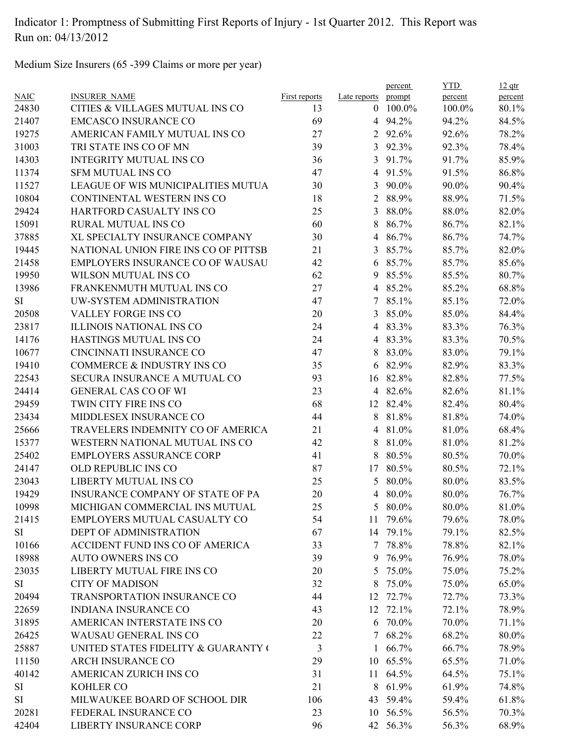Medium Size Insurers (65 -399 Claims or more per year)

|             |                                         |                      |                | percent         | <b>YTD</b> | $12$ qtr |
|-------------|-----------------------------------------|----------------------|----------------|-----------------|------------|----------|
| <b>NAIC</b> | <b>INSURER NAME</b>                     | <b>First reports</b> | Late reports   | prompt          | percent    | percent  |
| 24830       | CITIES & VILLAGES MUTUAL INS CO         | 13                   |                | $0$ 100.0%      | 100.0%     | 80.1%    |
| 21407       | <b>EMCASCO INSURANCE CO</b>             | 69                   |                | 4 94.2%         | 94.2%      | 84.5%    |
| 19275       | AMERICAN FAMILY MUTUAL INS CO           | 27                   | $\overline{2}$ | 92.6%           | 92.6%      | 78.2%    |
| 31003       | TRI STATE INS CO OF MN                  | 39                   | 3              | 92.3%           | 92.3%      | 78.4%    |
| 14303       | <b>INTEGRITY MUTUAL INS CO</b>          | 36                   | 3              | 91.7%           | 91.7%      | 85.9%    |
| 11374       | <b>SFM MUTUAL INS CO</b>                | 47                   | $\overline{4}$ | 91.5%           | 91.5%      | 86.8%    |
| 11527       | LEAGUE OF WIS MUNICIPALITIES MUTUA      | 30                   | 3              | 90.0%           | 90.0%      | 90.4%    |
| 10804       | CONTINENTAL WESTERN INS CO              | 18                   | $\overline{2}$ | 88.9%           | 88.9%      | 71.5%    |
| 29424       | HARTFORD CASUALTY INS CO                | 25                   | 3              | 88.0%           | 88.0%      | 82.0%    |
| 15091       | RURAL MUTUAL INS CO                     | 60                   | 8              | 86.7%           | 86.7%      | 82.1%    |
| 37885       | XL SPECIALTY INSURANCE COMPANY          | 30                   | $\overline{4}$ | 86.7%           | 86.7%      | 74.7%    |
| 19445       | NATIONAL UNION FIRE INS CO OF PITTSB    | 21                   | 3              | 85.7%           | 85.7%      | 82.0%    |
| 21458       | EMPLOYERS INSURANCE CO OF WAUSAU        | 42                   | 6              | 85.7%           | 85.7%      | 85.6%    |
| 19950       | WILSON MUTUAL INS CO                    | 62                   | 9              | 85.5%           | 85.5%      | 80.7%    |
| 13986       | FRANKENMUTH MUTUAL INS CO               | 27                   | 4              | 85.2%           | 85.2%      | 68.8%    |
| <b>SI</b>   | UW-SYSTEM ADMINISTRATION                | 47                   | 7              | 85.1%           | 85.1%      | 72.0%    |
| 20508       | <b>VALLEY FORGE INS CO</b>              | 20                   | 3              | 85.0%           | 85.0%      | 84.4%    |
| 23817       | <b>ILLINOIS NATIONAL INS CO</b>         | 24                   |                | 4 83.3%         | 83.3%      | 76.3%    |
| 14176       | HASTINGS MUTUAL INS CO                  | 24                   |                | 4 83.3%         | 83.3%      | 70.5%    |
| 10677       | CINCINNATI INSURANCE CO                 | 47                   | 8              | 83.0%           | 83.0%      | 79.1%    |
| 19410       | COMMERCE & INDUSTRY INS CO              | 35                   | 6              | 82.9%           | 82.9%      | 83.3%    |
| 22543       | SECURA INSURANCE A MUTUAL CO            | 93                   | 16             | 82.8%           | 82.8%      | 77.5%    |
| 24414       | <b>GENERAL CAS CO OF WI</b>             | 23                   |                | 4 82.6%         | 82.6%      | 81.1%    |
| 29459       | TWIN CITY FIRE INS CO                   | 68                   |                | 12 82.4%        | 82.4%      | 80.4%    |
| 23434       | MIDDLESEX INSURANCE CO                  | 44                   | 8              | 81.8%           | 81.8%      | 74.0%    |
| 25666       | TRAVELERS INDEMNITY CO OF AMERICA       | 21                   | $\overline{4}$ | 81.0%           | 81.0%      | 68.4%    |
| 15377       | WESTERN NATIONAL MUTUAL INS CO          | 42                   | 8              | 81.0%           | 81.0%      | 81.2%    |
| 25402       | <b>EMPLOYERS ASSURANCE CORP</b>         | 41                   | 8              | 80.5%           | 80.5%      | 70.0%    |
| 24147       | OLD REPUBLIC INS CO                     | 87                   | 17             | 80.5%           | 80.5%      | 72.1%    |
| 23043       | <b>LIBERTY MUTUAL INS CO</b>            | 25                   | 5              | 80.0%           | 80.0%      | 83.5%    |
| 19429       | <b>INSURANCE COMPANY OF STATE OF PA</b> | 20                   | 4              | 80.0%           | 80.0%      | 76.7%    |
| 10998       | MICHIGAN COMMERCIAL INS MUTUAL          | 25                   |                | 5 80.0%         | 80.0%      | 81.0%    |
| 21415       | EMPLOYERS MUTUAL CASUALTY CO            | 54                   |                | 11 79.6%        | 79.6%      | 78.0%    |
| SI          | DEPT OF ADMINISTRATION                  | 67                   |                | 14 79.1%        | 79.1%      | 82.5%    |
| 10166       | ACCIDENT FUND INS CO OF AMERICA         | 33                   |                | 7 78.8%         | 78.8%      | 82.1%    |
| 18988       | AUTO OWNERS INS CO                      | 39                   |                | 9 76.9%         | 76.9%      | 78.0%    |
| 23035       | LIBERTY MUTUAL FIRE INS CO              | 20                   |                | 5 75.0%         | 75.0%      | 75.2%    |
| SI          | <b>CITY OF MADISON</b>                  | 32                   | 8              | 75.0%           | 75.0%      | 65.0%    |
| 20494       | TRANSPORTATION INSURANCE CO             |                      |                |                 |            | 73.3%    |
|             | <b>INDIANA INSURANCE CO</b>             | 44                   |                | 12 72.7%        | 72.7%      |          |
| 22659       |                                         | 43                   |                | 12 72.1%        | 72.1%      | 78.9%    |
| 31895       | AMERICAN INTERSTATE INS CO              | 20                   |                | 6 70.0%         | 70.0%      | 71.1%    |
| 26425       | WAUSAU GENERAL INS CO                   | 22                   |                | 7 68.2%         | 68.2%      | 80.0%    |
| 25887       | UNITED STATES FIDELITY & GUARANTY (     | $\mathfrak{Z}$       |                | $1\quad 66.7\%$ | 66.7%      | 78.9%    |
| 11150       | <b>ARCH INSURANCE CO</b>                | 29                   |                | 10 65.5%        | 65.5%      | 71.0%    |
| 40142       | AMERICAN ZURICH INS CO                  | 31                   |                | 11 64.5%        | 64.5%      | 75.1%    |
| SI          | KOHLER CO                               | 21                   | 8              | 61.9%           | 61.9%      | 74.8%    |
| SI          | MILWAUKEE BOARD OF SCHOOL DIR           | 106                  |                | 43 59.4%        | 59.4%      | 61.8%    |
| 20281       | FEDERAL INSURANCE CO                    | 23                   |                | 10 56.5%        | 56.5%      | 70.3%    |
| 42404       | LIBERTY INSURANCE CORP                  | 96                   |                | 42 56.3%        | 56.3%      | 68.9%    |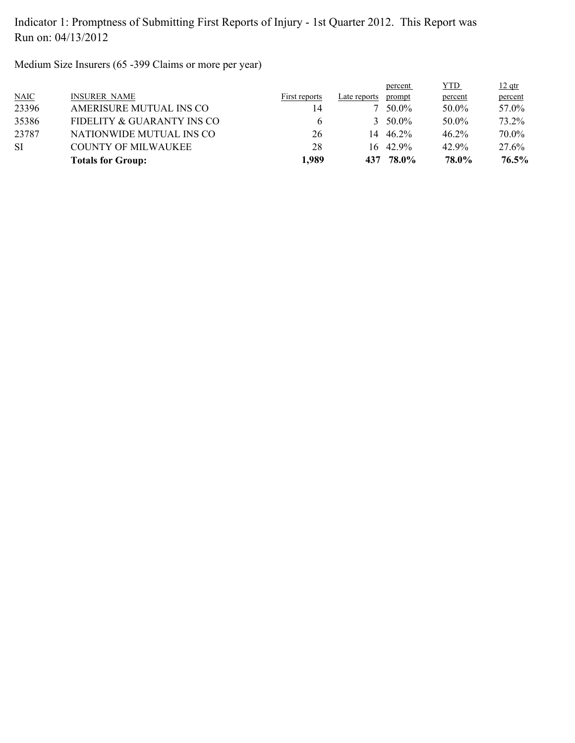Medium Size Insurers (65 -399 Claims or more per year)

|           | <b>Totals for Group:</b>   | 1.989         | 437          | 78.0%            | 78.0%      | 76.5%    |
|-----------|----------------------------|---------------|--------------|------------------|------------|----------|
| <b>SI</b> | <b>COUNTY OF MILWAUKEE</b> | 28            |              | $16\quad 42.9\%$ | 42.9%      | 27.6%    |
| 23787     | NATIONWIDE MUTUAL INS CO   | 26            | 14           | 46.2%            | $46.2\%$   | 70.0%    |
| 35386     | FIDELITY & GUARANTY INS CO | b             |              | $3.50.0\%$       | 50.0%      | 73.2%    |
| 23396     | AMERISURE MUTUAL INS CO    | 14            |              | 50.0%            | 50.0%      | 57.0%    |
| NAIC      | <b>INSURER NAME</b>        | First reports | Late reports | prompt           | percent    | percent  |
|           |                            |               |              | percent          | <u>YTD</u> | $12$ qtr |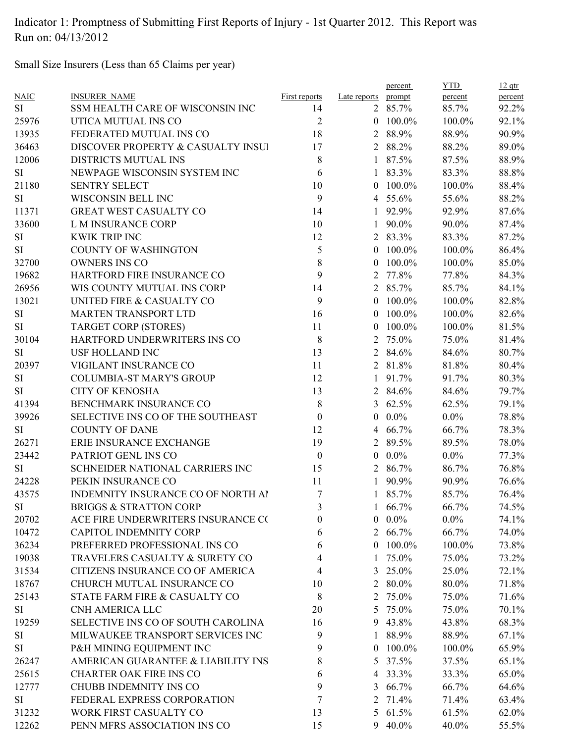Small Size Insurers (Less than 65 Claims per year)

| <b>NAIC</b> | <b>INSURER NAME</b>                | <b>First reports</b> | Late reports prompt | percent         | <b>YTD</b><br>percent | $12$ qtr<br>percent |
|-------------|------------------------------------|----------------------|---------------------|-----------------|-----------------------|---------------------|
| SI          | SSM HEALTH CARE OF WISCONSIN INC   | 14                   |                     | 2 85.7%         | 85.7%                 | 92.2%               |
| 25976       | UTICA MUTUAL INS CO                | $\overline{2}$       |                     | $0$ 100.0%      | 100.0%                | 92.1%               |
| 13935       | FEDERATED MUTUAL INS CO            | 18                   | 2                   | 88.9%           | 88.9%                 | 90.9%               |
| 36463       | DISCOVER PROPERTY & CASUALTY INSUI | 17                   |                     | 2 88.2%         | 88.2%                 | 89.0%               |
| 12006       | DISTRICTS MUTUAL INS               | 8                    | $\mathbf{1}$        | 87.5%           | 87.5%                 | 88.9%               |
| SI          | NEWPAGE WISCONSIN SYSTEM INC       | 6                    |                     | 1 83.3%         | 83.3%                 | 88.8%               |
| 21180       | <b>SENTRY SELECT</b>               | 10                   | $\theta$            | 100.0%          | 100.0%                | 88.4%               |
| SI          | WISCONSIN BELL INC                 | 9                    |                     | 4 55.6%         | 55.6%                 | 88.2%               |
| 11371       | GREAT WEST CASUALTY CO             | 14                   | $\mathbf{1}$        | 92.9%           | 92.9%                 | 87.6%               |
| 33600       | L M INSURANCE CORP                 | 10                   | 1                   | 90.0%           | 90.0%                 | 87.4%               |
| SI          | <b>KWIK TRIP INC</b>               | 12                   |                     | 2 83.3%         | 83.3%                 | 87.2%               |
| SI          | <b>COUNTY OF WASHINGTON</b>        | 5                    | $\overline{0}$      | 100.0%          | 100.0%                | 86.4%               |
| 32700       | <b>OWNERS INS CO</b>               | 8                    | $\theta$            | 100.0%          | 100.0%                | 85.0%               |
| 19682       | HARTFORD FIRE INSURANCE CO         | 9                    | 2                   | 77.8%           | 77.8%                 | 84.3%               |
| 26956       | WIS COUNTY MUTUAL INS CORP         | 14                   |                     | 2 85.7%         | 85.7%                 | 84.1%               |
| 13021       | UNITED FIRE & CASUALTY CO          | 9                    | $\overline{0}$      | 100.0%          | 100.0%                | 82.8%               |
| SI          | <b>MARTEN TRANSPORT LTD</b>        | 16                   | $\overline{0}$      | 100.0%          | 100.0%                | 82.6%               |
| SI          | <b>TARGET CORP (STORES)</b>        | 11                   | $\overline{0}$      | 100.0%          | 100.0%                | 81.5%               |
| 30104       | HARTFORD UNDERWRITERS INS CO       | 8                    | 2                   | 75.0%           | 75.0%                 | 81.4%               |
| SI          | <b>USF HOLLAND INC</b>             | 13                   |                     | 2 84.6%         | 84.6%                 | 80.7%               |
| 20397       | VIGILANT INSURANCE CO              | 11                   |                     | 2 81.8%         | 81.8%                 | 80.4%               |
| SI          | <b>COLUMBIA-ST MARY'S GROUP</b>    | 12                   |                     | $1\quad 91.7\%$ | 91.7%                 | 80.3%               |
| SI          | <b>CITY OF KENOSHA</b>             | 13                   |                     | 2 84.6%         | 84.6%                 | 79.7%               |
| 41394       | BENCHMARK INSURANCE CO             | $8\phantom{1}$       | 3                   | 62.5%           | 62.5%                 | 79.1%               |
| 39926       | SELECTIVE INS CO OF THE SOUTHEAST  | $\boldsymbol{0}$     | $\overline{0}$      | $0.0\%$         | $0.0\%$               | 78.8%               |
| SI          | <b>COUNTY OF DANE</b>              | 12                   | $\overline{4}$      | 66.7%           | 66.7%                 | 78.3%               |
| 26271       | ERIE INSURANCE EXCHANGE            | 19                   |                     | 2 89.5%         | 89.5%                 | 78.0%               |
| 23442       | PATRIOT GENL INS CO                | $\boldsymbol{0}$     | $\overline{0}$      | $0.0\%$         | $0.0\%$               | 77.3%               |
| SI          | SCHNEIDER NATIONAL CARRIERS INC    | 15                   |                     | 2 86.7%         | 86.7%                 | 76.8%               |
| 24228       | PEKIN INSURANCE CO                 | 11                   |                     | 1 90.9%         | 90.9%                 | 76.6%               |
|             |                                    | 7                    |                     |                 |                       |                     |
| 43575       | INDEMNITY INSURANCE CO OF NORTH AI |                      | $\mathbf{1}$        | 85.7%           | 85.7%                 | 76.4%               |
| SI          | <b>BRIGGS &amp; STRATTON CORP</b>  | 3                    |                     | $1\quad 66.7\%$ | 66.7%                 | 74.5%               |
| 20702       | ACE FIRE UNDERWRITERS INSURANCE CO | 0                    | $\overline{0}$      | $0.0\%$         | $0.0\%$               | 74.1%               |
| 10472       | <b>CAPITOL INDEMNITY CORP</b>      | 6                    |                     | 2 66.7%         | 66.7%                 | 74.0%               |
| 36234       | PREFERRED PROFESSIONAL INS CO      | 6                    | $\theta$            | 100.0%          | 100.0%                | 73.8%               |
| 19038       | TRAVELERS CASUALTY & SURETY CO     | 4                    | 1                   | 75.0%           | 75.0%                 | 73.2%               |
| 31534       | CITIZENS INSURANCE CO OF AMERICA   | 4                    | 3                   | 25.0%           | 25.0%                 | 72.1%               |
| 18767       | CHURCH MUTUAL INSURANCE CO         | 10                   |                     | 2 80.0%         | 80.0%                 | 71.8%               |
| 25143       | STATE FARM FIRE & CASUALTY CO      | 8                    | $\overline{2}$      | 75.0%           | 75.0%                 | 71.6%               |
| SI          | CNH AMERICA LLC                    | 20                   | 5 <sup>5</sup>      | 75.0%           | 75.0%                 | 70.1%               |
| 19259       | SELECTIVE INS CO OF SOUTH CAROLINA | 16                   |                     | 9 43.8%         | 43.8%                 | 68.3%               |
| SI          | MILWAUKEE TRANSPORT SERVICES INC   | 9                    | 1                   | 88.9%           | 88.9%                 | 67.1%               |
| SI          | P&H MINING EQUIPMENT INC           | 9                    | $\theta$            | 100.0%          | 100.0%                | 65.9%               |
| 26247       | AMERICAN GUARANTEE & LIABILITY INS | 8                    | 5                   | 37.5%           | 37.5%                 | 65.1%               |
| 25615       | <b>CHARTER OAK FIRE INS CO</b>     | 6                    |                     | 4 33.3%         | 33.3%                 | 65.0%               |
| 12777       | CHUBB INDEMNITY INS CO             | 9                    | 3                   | 66.7%           | 66.7%                 | 64.6%               |
| SI          | FEDERAL EXPRESS CORPORATION        | 7                    |                     | 2 71.4%         | 71.4%                 | 63.4%               |
| 31232       | WORK FIRST CASUALTY CO             | 13                   |                     | 5 61.5%         | 61.5%                 | 62.0%               |
| 12262       | PENN MFRS ASSOCIATION INS CO       | 15                   | 9                   | 40.0%           | 40.0%                 | 55.5%               |